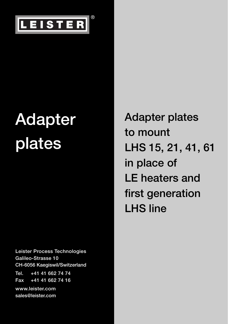

**Leister Process Technologies Galileo-Strasse 10 CH-6056 Kaegiswil/Switzerland Tel. +41 41 662 74 74 Fax +41 41 662 74 16 www.leister.com**

**sales@leister.com**

**Adapter plates to mount LHS 15, 21, 41, 61 in place of LE heaters and first generation LHS line**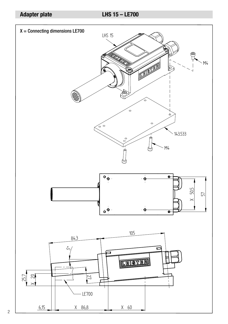## **LHS 15 - LE700**

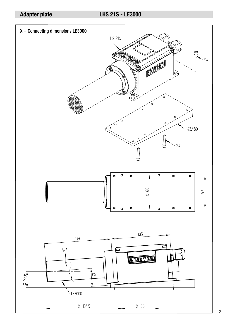#### **LHS 21S - LE3000**

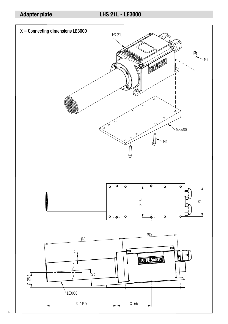**LHS 21L - LE3000** 

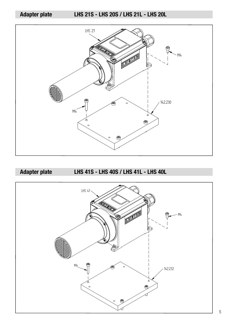**Adapter plate LHS 21S - LHS 20S / LHS 21L - LHS 20L**



**Adapter plate LHS 41S - LHS 40S / LHS 41L - LHS 40L**

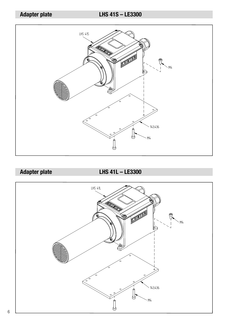# **Adapter plate LHS 41S – LE3300**



**Adapter plate LHS 41L – LE3300**

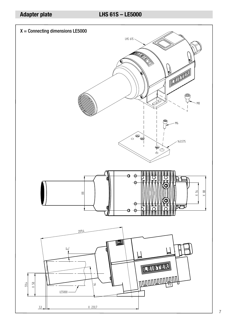#### **LHS 61S - LE5000**